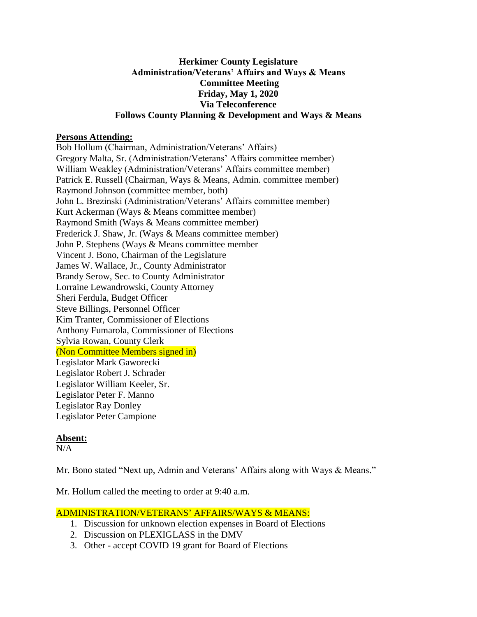### **Herkimer County Legislature Administration/Veterans' Affairs and Ways & Means Committee Meeting Friday, May 1, 2020 Via Teleconference Follows County Planning & Development and Ways & Means**

#### **Persons Attending:**

Bob Hollum (Chairman, Administration/Veterans' Affairs) Gregory Malta, Sr. (Administration/Veterans' Affairs committee member) William Weakley (Administration/Veterans' Affairs committee member) Patrick E. Russell (Chairman, Ways & Means, Admin. committee member) Raymond Johnson (committee member, both) John L. Brezinski (Administration/Veterans' Affairs committee member) Kurt Ackerman (Ways & Means committee member) Raymond Smith (Ways & Means committee member) Frederick J. Shaw, Jr. (Ways & Means committee member) John P. Stephens (Ways & Means committee member Vincent J. Bono, Chairman of the Legislature James W. Wallace, Jr., County Administrator Brandy Serow, Sec. to County Administrator Lorraine Lewandrowski, County Attorney Sheri Ferdula, Budget Officer Steve Billings, Personnel Officer Kim Tranter, Commissioner of Elections Anthony Fumarola, Commissioner of Elections Sylvia Rowan, County Clerk (Non Committee Members signed in) Legislator Mark Gaworecki Legislator Robert J. Schrader Legislator William Keeler, Sr. Legislator Peter F. Manno Legislator Ray Donley Legislator Peter Campione

# **Absent:**

 $N/A$ 

Mr. Bono stated "Next up, Admin and Veterans' Affairs along with Ways & Means."

Mr. Hollum called the meeting to order at 9:40 a.m.

# ADMINISTRATION/VETERANS' AFFAIRS/WAYS & MEANS:

- 1. Discussion for unknown election expenses in Board of Elections
- 2. Discussion on PLEXIGLASS in the DMV
- 3. Other accept COVID 19 grant for Board of Elections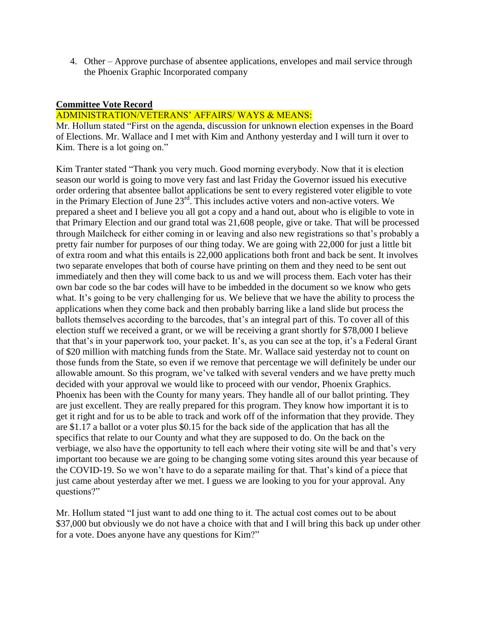4. Other – Approve purchase of absentee applications, envelopes and mail service through the Phoenix Graphic Incorporated company

### **Committee Vote Record**

### ADMINISTRATION/VETERANS' AFFAIRS/ WAYS & MEANS:

Mr. Hollum stated "First on the agenda, discussion for unknown election expenses in the Board of Elections. Mr. Wallace and I met with Kim and Anthony yesterday and I will turn it over to Kim. There is a lot going on."

Kim Tranter stated "Thank you very much. Good morning everybody. Now that it is election season our world is going to move very fast and last Friday the Governor issued his executive order ordering that absentee ballot applications be sent to every registered voter eligible to vote in the Primary Election of June 23rd. This includes active voters and non-active voters. We prepared a sheet and I believe you all got a copy and a hand out, about who is eligible to vote in that Primary Election and our grand total was 21,608 people, give or take. That will be processed through Mailcheck for either coming in or leaving and also new registrations so that's probably a pretty fair number for purposes of our thing today. We are going with 22,000 for just a little bit of extra room and what this entails is 22,000 applications both front and back be sent. It involves two separate envelopes that both of course have printing on them and they need to be sent out immediately and then they will come back to us and we will process them. Each voter has their own bar code so the bar codes will have to be imbedded in the document so we know who gets what. It's going to be very challenging for us. We believe that we have the ability to process the applications when they come back and then probably barring like a land slide but process the ballots themselves according to the barcodes, that's an integral part of this. To cover all of this election stuff we received a grant, or we will be receiving a grant shortly for \$78,000 I believe that that's in your paperwork too, your packet. It's, as you can see at the top, it's a Federal Grant of \$20 million with matching funds from the State. Mr. Wallace said yesterday not to count on those funds from the State, so even if we remove that percentage we will definitely be under our allowable amount. So this program, we've talked with several venders and we have pretty much decided with your approval we would like to proceed with our vendor, Phoenix Graphics. Phoenix has been with the County for many years. They handle all of our ballot printing. They are just excellent. They are really prepared for this program. They know how important it is to get it right and for us to be able to track and work off of the information that they provide. They are \$1.17 a ballot or a voter plus \$0.15 for the back side of the application that has all the specifics that relate to our County and what they are supposed to do. On the back on the verbiage, we also have the opportunity to tell each where their voting site will be and that's very important too because we are going to be changing some voting sites around this year because of the COVID-19. So we won't have to do a separate mailing for that. That's kind of a piece that just came about yesterday after we met. I guess we are looking to you for your approval. Any questions?"

Mr. Hollum stated "I just want to add one thing to it. The actual cost comes out to be about \$37,000 but obviously we do not have a choice with that and I will bring this back up under other for a vote. Does anyone have any questions for Kim?"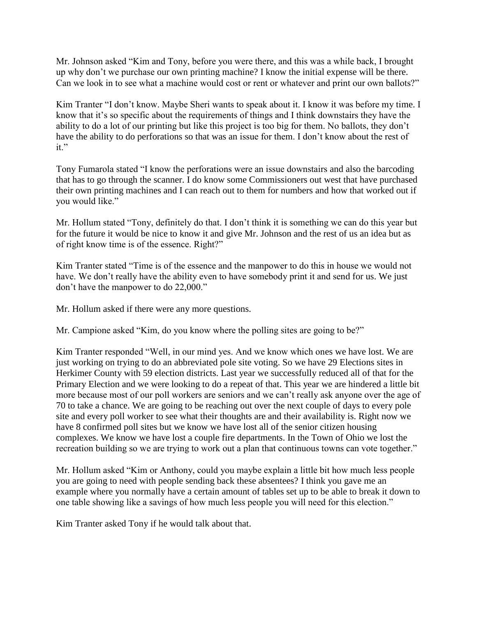Mr. Johnson asked "Kim and Tony, before you were there, and this was a while back, I brought up why don't we purchase our own printing machine? I know the initial expense will be there. Can we look in to see what a machine would cost or rent or whatever and print our own ballots?"

Kim Tranter "I don't know. Maybe Sheri wants to speak about it. I know it was before my time. I know that it's so specific about the requirements of things and I think downstairs they have the ability to do a lot of our printing but like this project is too big for them. No ballots, they don't have the ability to do perforations so that was an issue for them. I don't know about the rest of it."

Tony Fumarola stated "I know the perforations were an issue downstairs and also the barcoding that has to go through the scanner. I do know some Commissioners out west that have purchased their own printing machines and I can reach out to them for numbers and how that worked out if you would like."

Mr. Hollum stated "Tony, definitely do that. I don't think it is something we can do this year but for the future it would be nice to know it and give Mr. Johnson and the rest of us an idea but as of right know time is of the essence. Right?"

Kim Tranter stated "Time is of the essence and the manpower to do this in house we would not have. We don't really have the ability even to have somebody print it and send for us. We just don't have the manpower to do 22,000."

Mr. Hollum asked if there were any more questions.

Mr. Campione asked "Kim, do you know where the polling sites are going to be?"

Kim Tranter responded "Well, in our mind yes. And we know which ones we have lost. We are just working on trying to do an abbreviated pole site voting. So we have 29 Elections sites in Herkimer County with 59 election districts. Last year we successfully reduced all of that for the Primary Election and we were looking to do a repeat of that. This year we are hindered a little bit more because most of our poll workers are seniors and we can't really ask anyone over the age of 70 to take a chance. We are going to be reaching out over the next couple of days to every pole site and every poll worker to see what their thoughts are and their availability is. Right now we have 8 confirmed poll sites but we know we have lost all of the senior citizen housing complexes. We know we have lost a couple fire departments. In the Town of Ohio we lost the recreation building so we are trying to work out a plan that continuous towns can vote together."

Mr. Hollum asked "Kim or Anthony, could you maybe explain a little bit how much less people you are going to need with people sending back these absentees? I think you gave me an example where you normally have a certain amount of tables set up to be able to break it down to one table showing like a savings of how much less people you will need for this election."

Kim Tranter asked Tony if he would talk about that.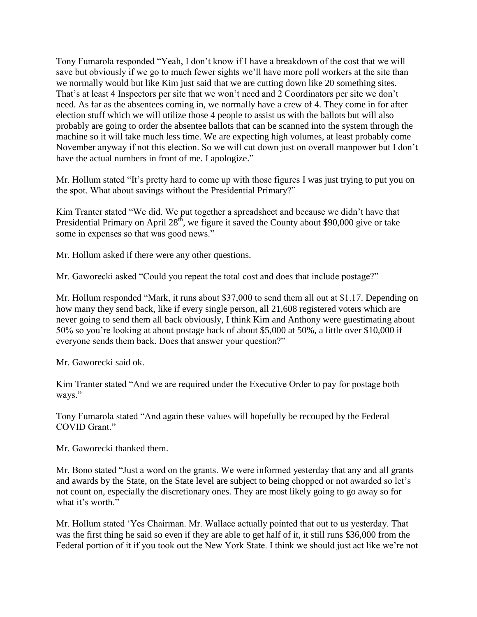Tony Fumarola responded "Yeah, I don't know if I have a breakdown of the cost that we will save but obviously if we go to much fewer sights we'll have more poll workers at the site than we normally would but like Kim just said that we are cutting down like 20 something sites. That's at least 4 Inspectors per site that we won't need and 2 Coordinators per site we don't need. As far as the absentees coming in, we normally have a crew of 4. They come in for after election stuff which we will utilize those 4 people to assist us with the ballots but will also probably are going to order the absentee ballots that can be scanned into the system through the machine so it will take much less time. We are expecting high volumes, at least probably come November anyway if not this election. So we will cut down just on overall manpower but I don't have the actual numbers in front of me. I apologize."

Mr. Hollum stated "It's pretty hard to come up with those figures I was just trying to put you on the spot. What about savings without the Presidential Primary?"

Kim Tranter stated "We did. We put together a spreadsheet and because we didn't have that Presidential Primary on April  $28<sup>th</sup>$ , we figure it saved the County about \$90,000 give or take some in expenses so that was good news."

Mr. Hollum asked if there were any other questions.

Mr. Gaworecki asked "Could you repeat the total cost and does that include postage?"

Mr. Hollum responded "Mark, it runs about \$37,000 to send them all out at \$1.17. Depending on how many they send back, like if every single person, all 21,608 registered voters which are never going to send them all back obviously, I think Kim and Anthony were guestimating about 50% so you're looking at about postage back of about \$5,000 at 50%, a little over \$10,000 if everyone sends them back. Does that answer your question?"

Mr. Gaworecki said ok.

Kim Tranter stated "And we are required under the Executive Order to pay for postage both ways."

Tony Fumarola stated "And again these values will hopefully be recouped by the Federal COVID Grant."

Mr. Gaworecki thanked them.

Mr. Bono stated "Just a word on the grants. We were informed yesterday that any and all grants and awards by the State, on the State level are subject to being chopped or not awarded so let's not count on, especially the discretionary ones. They are most likely going to go away so for what it's worth."

Mr. Hollum stated 'Yes Chairman. Mr. Wallace actually pointed that out to us yesterday. That was the first thing he said so even if they are able to get half of it, it still runs \$36,000 from the Federal portion of it if you took out the New York State. I think we should just act like we're not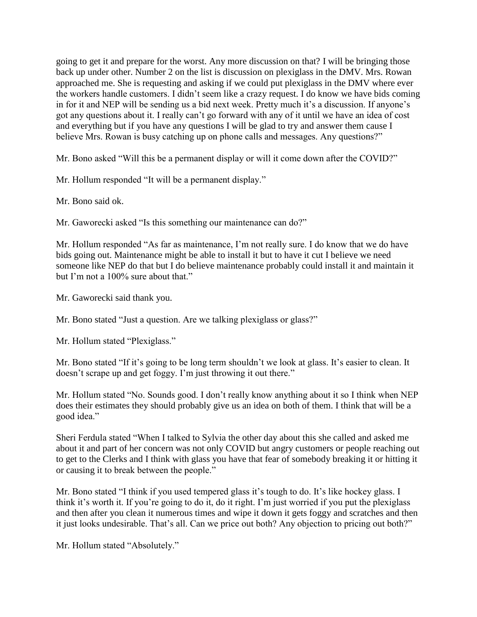going to get it and prepare for the worst. Any more discussion on that? I will be bringing those back up under other. Number 2 on the list is discussion on plexiglass in the DMV. Mrs. Rowan approached me. She is requesting and asking if we could put plexiglass in the DMV where ever the workers handle customers. I didn't seem like a crazy request. I do know we have bids coming in for it and NEP will be sending us a bid next week. Pretty much it's a discussion. If anyone's got any questions about it. I really can't go forward with any of it until we have an idea of cost and everything but if you have any questions I will be glad to try and answer them cause I believe Mrs. Rowan is busy catching up on phone calls and messages. Any questions?"

Mr. Bono asked "Will this be a permanent display or will it come down after the COVID?"

Mr. Hollum responded "It will be a permanent display."

Mr. Bono said ok.

Mr. Gaworecki asked "Is this something our maintenance can do?"

Mr. Hollum responded "As far as maintenance, I'm not really sure. I do know that we do have bids going out. Maintenance might be able to install it but to have it cut I believe we need someone like NEP do that but I do believe maintenance probably could install it and maintain it but I'm not a 100% sure about that."

Mr. Gaworecki said thank you.

Mr. Bono stated "Just a question. Are we talking plexiglass or glass?"

Mr. Hollum stated "Plexiglass."

Mr. Bono stated "If it's going to be long term shouldn't we look at glass. It's easier to clean. It doesn't scrape up and get foggy. I'm just throwing it out there."

Mr. Hollum stated "No. Sounds good. I don't really know anything about it so I think when NEP does their estimates they should probably give us an idea on both of them. I think that will be a good idea."

Sheri Ferdula stated "When I talked to Sylvia the other day about this she called and asked me about it and part of her concern was not only COVID but angry customers or people reaching out to get to the Clerks and I think with glass you have that fear of somebody breaking it or hitting it or causing it to break between the people."

Mr. Bono stated "I think if you used tempered glass it's tough to do. It's like hockey glass. I think it's worth it. If you're going to do it, do it right. I'm just worried if you put the plexiglass and then after you clean it numerous times and wipe it down it gets foggy and scratches and then it just looks undesirable. That's all. Can we price out both? Any objection to pricing out both?"

Mr. Hollum stated "Absolutely."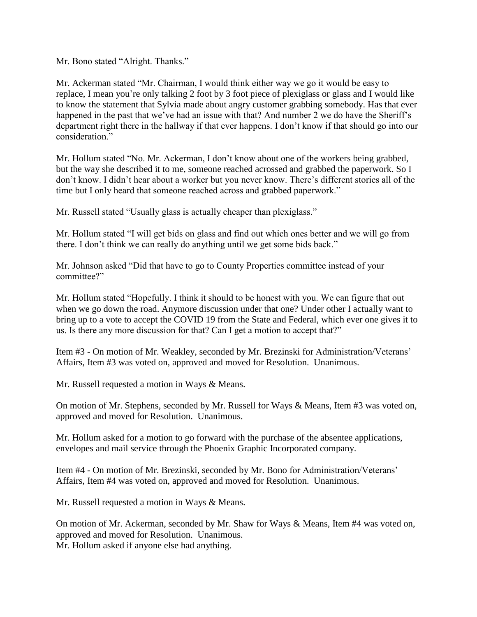Mr. Bono stated "Alright. Thanks."

Mr. Ackerman stated "Mr. Chairman, I would think either way we go it would be easy to replace, I mean you're only talking 2 foot by 3 foot piece of plexiglass or glass and I would like to know the statement that Sylvia made about angry customer grabbing somebody. Has that ever happened in the past that we've had an issue with that? And number 2 we do have the Sheriff's department right there in the hallway if that ever happens. I don't know if that should go into our consideration."

Mr. Hollum stated "No. Mr. Ackerman, I don't know about one of the workers being grabbed, but the way she described it to me, someone reached acrossed and grabbed the paperwork. So I don't know. I didn't hear about a worker but you never know. There's different stories all of the time but I only heard that someone reached across and grabbed paperwork."

Mr. Russell stated "Usually glass is actually cheaper than plexiglass."

Mr. Hollum stated "I will get bids on glass and find out which ones better and we will go from there. I don't think we can really do anything until we get some bids back."

Mr. Johnson asked "Did that have to go to County Properties committee instead of your committee?"

Mr. Hollum stated "Hopefully. I think it should to be honest with you. We can figure that out when we go down the road. Anymore discussion under that one? Under other I actually want to bring up to a vote to accept the COVID 19 from the State and Federal, which ever one gives it to us. Is there any more discussion for that? Can I get a motion to accept that?"

Item #3 - On motion of Mr. Weakley, seconded by Mr. Brezinski for Administration/Veterans' Affairs, Item #3 was voted on, approved and moved for Resolution. Unanimous.

Mr. Russell requested a motion in Ways & Means.

On motion of Mr. Stephens, seconded by Mr. Russell for Ways & Means, Item #3 was voted on, approved and moved for Resolution. Unanimous.

Mr. Hollum asked for a motion to go forward with the purchase of the absentee applications, envelopes and mail service through the Phoenix Graphic Incorporated company.

Item #4 - On motion of Mr. Brezinski, seconded by Mr. Bono for Administration/Veterans' Affairs, Item #4 was voted on, approved and moved for Resolution. Unanimous.

Mr. Russell requested a motion in Ways & Means.

On motion of Mr. Ackerman, seconded by Mr. Shaw for Ways & Means, Item #4 was voted on, approved and moved for Resolution. Unanimous. Mr. Hollum asked if anyone else had anything.